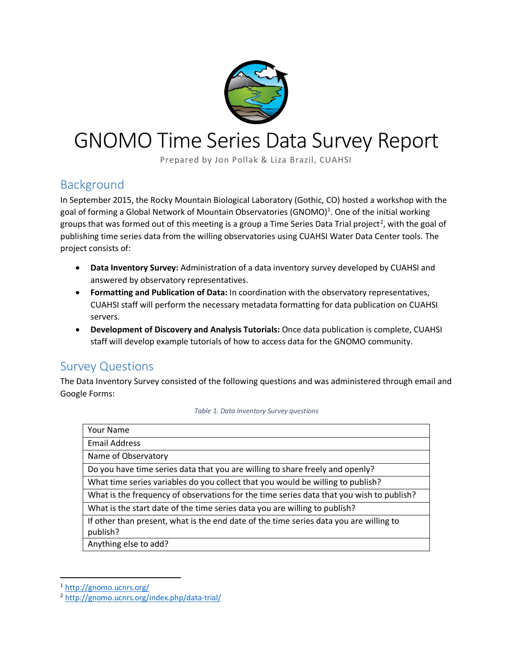

# GNOMO Time Series Data Survey Report

Prepared by Jon Pollak & Liza Brazil, CUAHSI

#### Background

In September 2015, the Rocky Mountain Biological Laboratory (Gothic, CO) hosted a workshop with the goal of forming a Global Network of Mountain Observatories (GNOMO)<sup>1</sup>. One of the initial working groups that was formed out of this meeting is a group a Time Series Data Trial project<sup>2</sup>, with the goal of publishing time series data from the willing observatories using CUAHSI Water Data Center tools. The project consists of:

- **Data Inventory Survey:** Administration of a data inventory survey developed by CUAHSI and answered by observatory representatives.
- **Formatting and Publication of Data:** In coordination with the observatory representatives, CUAHSI staff will perform the necessary metadata formatting for data publication on CUAHSI servers.
- **Development of Discovery and Analysis Tutorials:** Once data publication is complete, CUAHSI staff will develop example tutorials of how to access data for the GNOMO community.

#### Survey Questions

The Data Inventory Survey consisted of the following questions and was administered through email and Google Forms:

*Table 1. Data Inventory Survey questions*

| <b>Your Name</b>                                                                         |
|------------------------------------------------------------------------------------------|
| <b>Email Address</b>                                                                     |
| Name of Observatory                                                                      |
| Do you have time series data that you are willing to share freely and openly?            |
| What time series variables do you collect that you would be willing to publish?          |
| What is the frequency of observations for the time series data that you wish to publish? |
| What is the start date of the time series data you are willing to publish?               |
| If other than present, what is the end date of the time series data you are willing to   |
| publish?                                                                                 |
| Anything else to add?                                                                    |

<sup>1</sup> <http://gnomo.ucnrs.org/>

 $\overline{a}$ 

<sup>2</sup> <http://gnomo.ucnrs.org/index.php/data-trial/>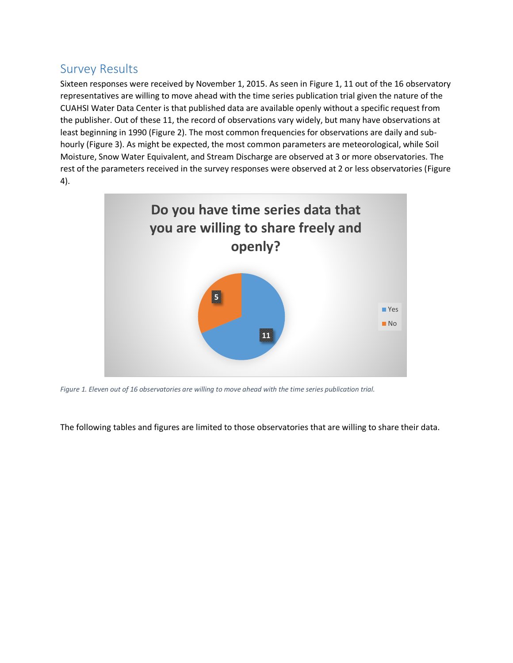#### Survey Results

Sixteen responses were received by November 1, 2015. As seen in [Figure 1,](#page-1-0) 11 out of the 16 observatory representatives are willing to move ahead with the time series publication trial given the nature of the CUAHSI Water Data Center is that published data are available openly without a specific request from the publisher. Out of these 11, the record of observations vary widely, but many have observations at least beginning in 1990 [\(Figure 2\)](#page-2-0). The most common frequencies for observations are daily and subhourly [\(Figure 3\)](#page-2-1). As might be expected, the most common parameters are meteorological, while Soil Moisture, Snow Water Equivalent, and Stream Discharge are observed at 3 or more observatories. The rest of the parameters received in the survey responses were observed at 2 or less observatories [\(Figure](#page-3-0)  [4\)](#page-3-0).



<span id="page-1-0"></span>*Figure 1. Eleven out of 16 observatories are willing to move ahead with the time series publication trial.*

The following tables and figures are limited to those observatories that are willing to share their data.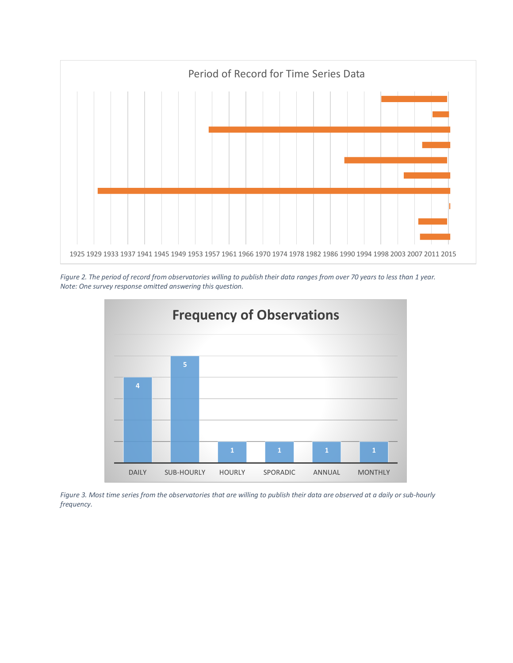

<span id="page-2-0"></span>*Figure 2. The period of record from observatories willing to publish their data ranges from over 70 years to less than 1 year. Note: One survey response omitted answering this question.*



<span id="page-2-1"></span>*Figure 3. Most time series from the observatories that are willing to publish their data are observed at a daily or sub-hourly frequency.*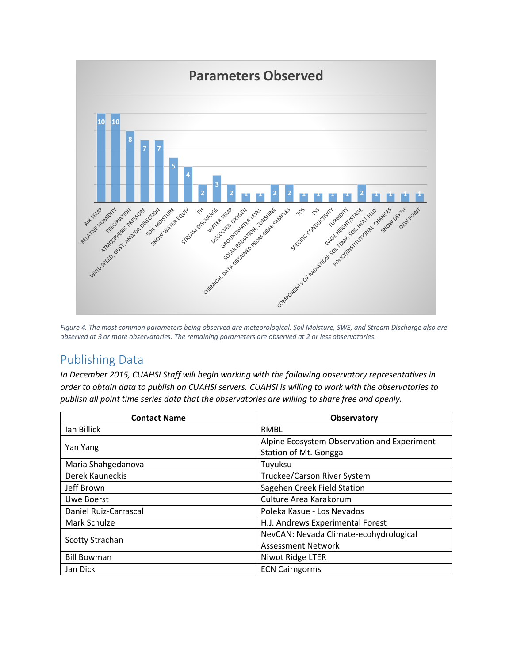

<span id="page-3-0"></span>*Figure 4. The most common parameters being observed are meteorological. Soil Moisture, SWE, and Stream Discharge also are observed at 3 or more observatories. The remaining parameters are observed at 2 or less observatories.*

### Publishing Data

*In December 2015, CUAHSI Staff will begin working with the following observatory representatives in order to obtain data to publish on CUAHSI servers. CUAHSI is willing to work with the observatories to publish all point time series data that the observatories are willing to share free and openly.* 

| <b>Contact Name</b>    | Observatory                                 |
|------------------------|---------------------------------------------|
| lan Billick            | <b>RMBL</b>                                 |
| Yan Yang               | Alpine Ecosystem Observation and Experiment |
|                        | Station of Mt. Gongga                       |
| Maria Shahgedanova     | Tuyuksu                                     |
| Derek Kauneckis        | Truckee/Carson River System                 |
| Jeff Brown             | Sagehen Creek Field Station                 |
| Uwe Boerst             | Culture Area Karakorum                      |
| Daniel Ruiz-Carrascal  | Poleka Kasue - Los Nevados                  |
| Mark Schulze           | H.J. Andrews Experimental Forest            |
| <b>Scotty Strachan</b> | NevCAN: Nevada Climate-ecohydrological      |
|                        | <b>Assessment Network</b>                   |
| <b>Bill Bowman</b>     | Niwot Ridge LTER                            |
| Jan Dick               | <b>ECN Cairngorms</b>                       |